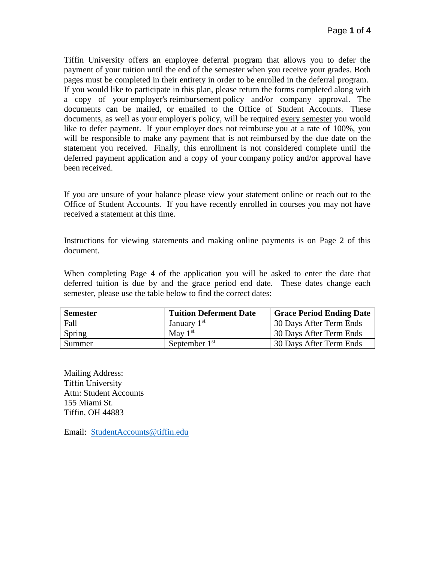Tiffin University offers an employee deferral program that allows you to defer the payment of your tuition until the end of the semester when you receive your grades. Both pages must be completed in their entirety in order to be enrolled in the deferral program. If you would like to participate in this plan, please return the forms completed along with a copy of your employer's reimbursement policy and/or company approval. The documents can be mailed, or emailed to the Office of Student Accounts. These documents, as well as your employer's policy, will be required every semester you would like to defer payment. If your employer does not reimburse you at a rate of 100%, you will be responsible to make any payment that is not reimbursed by the due date on the statement you received. Finally, this enrollment is not considered complete until the deferred payment application and a copy of your company policy and/or approval have been received.

If you are unsure of your balance please view your statement online or reach out to the Office of Student Accounts. If you have recently enrolled in courses you may not have received a statement at this time.

Instructions for viewing statements and making online payments is on Page 2 of this document.

When completing Page 4 of the application you will be asked to enter the date that deferred tuition is due by and the grace period end date. These dates change each semester, please use the table below to find the correct dates:

| <b>Semester</b> | <b>Tuition Deferment Date</b> | <b>Grace Period Ending Date</b> |
|-----------------|-------------------------------|---------------------------------|
| Fall            | January 1 <sup>st</sup>       | 30 Days After Term Ends         |
| Spring          | May $1st$                     | 30 Days After Term Ends         |
| Summer          | September $1st$               | 30 Days After Term Ends         |

Mailing Address: Tiffin University Attn: Student Accounts 155 Miami St. Tiffin, OH 44883

Email: [StudentAccounts@tiffin.edu](mailto:StudentAccounts@tiffin.edu)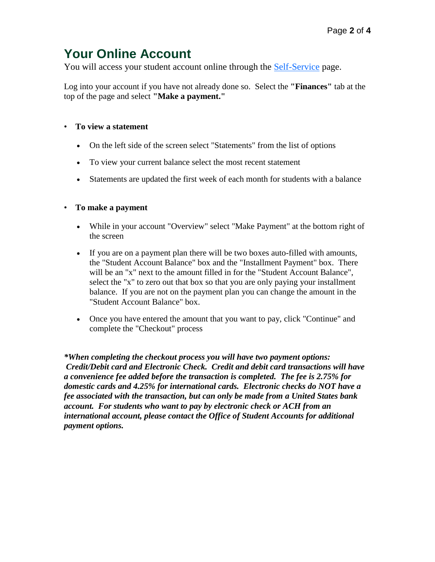## **Your Online Account**

You will access your student account online through the [Self-Service](https://selfservice.tiffin.edu/selfservice/home.aspx) page.

Log into your account if you have not already done so. Select the **"Finances"** tab at the top of the page and select **"Make a payment."**

## • **To view a statement**

- On the left side of the screen select "Statements" from the list of options
- To view your current balance select the most recent statement
- Statements are updated the first week of each month for students with a balance

## • **To make a payment**

- While in your account "Overview" select "Make Payment" at the bottom right of the screen
- If you are on a payment plan there will be two boxes auto-filled with amounts, the "Student Account Balance" box and the "Installment Payment" box. There will be an "x" next to the amount filled in for the "Student Account Balance", select the "x" to zero out that box so that you are only paying your installment balance. If you are not on the payment plan you can change the amount in the "Student Account Balance" box.
- Once you have entered the amount that you want to pay, click "Continue" and complete the "Checkout" process

*\*When completing the checkout process you will have two payment options: Credit/Debit card and Electronic Check. Credit and debit card transactions will have a convenience fee added before the transaction is completed. The fee is 2.75% for domestic cards and 4.25% for international cards. Electronic checks do NOT have a fee associated with the transaction, but can only be made from a United States bank account. For students who want to pay by electronic check or ACH from an international account, please contact the Office of Student Accounts for additional payment options.*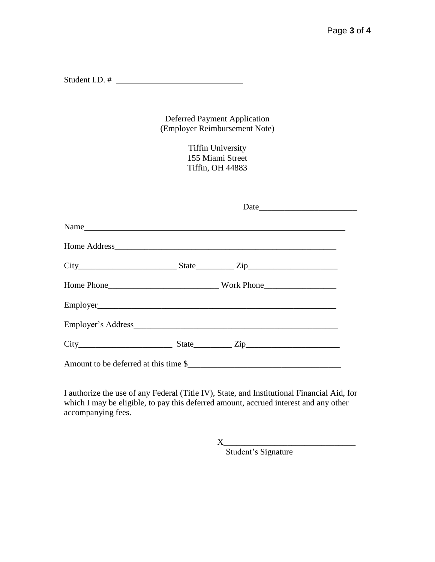Student I.D. #

Deferred Payment Application (Employer Reimbursement Note)

> Tiffin University 155 Miami Street Tiffin, OH 44883

|                                       | Date |  |
|---------------------------------------|------|--|
| Name                                  |      |  |
|                                       |      |  |
| $City$ $City$ $State$ $Zip$           |      |  |
|                                       |      |  |
|                                       |      |  |
|                                       |      |  |
| $City$ $City$ $State$ $Zip$           |      |  |
| Amount to be deferred at this time \$ |      |  |

I authorize the use of any Federal (Title IV), State, and Institutional Financial Aid, for which I may be eligible, to pay this deferred amount, accrued interest and any other accompanying fees.

> X\_\_\_\_\_\_\_\_\_\_\_\_\_\_\_\_\_\_\_\_\_\_\_\_\_\_\_\_\_\_\_ Student's Signature